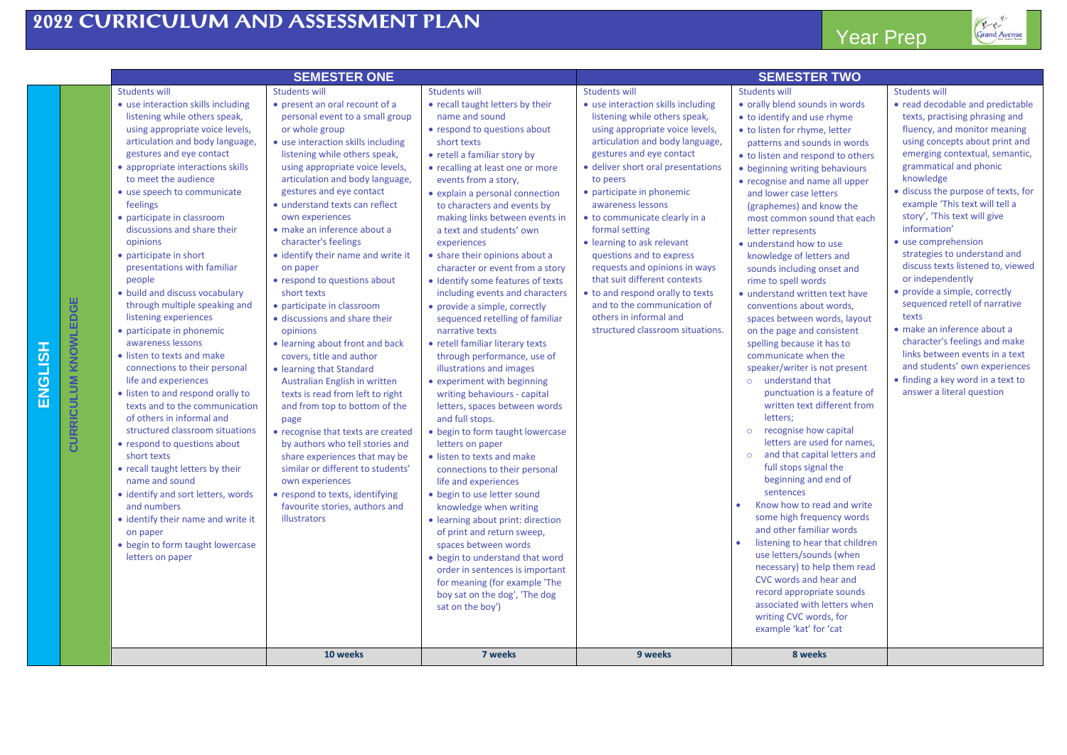**ENGLISH**



Grand Avenue

|                             |                                                                                                                                                                                                                                                                                                                                                                                                                                                                                                                                                                                                                                                                                                                                                                                                                                                                                                                                                                                                                                                                           | <b>SEMESTER ONE</b>                                                                                                                                                                                                                                                                                                                                                                                                                                                                                                                                                                                                                                                                                                                                                                                                                                                                                                                                                                                                  |                                                                                                                                                                                                                                                                                                                                                                                                                                                                                                                                                                                                                                                                                                                                                                                                                                                                                                                                                                                                                                                                                                                                                                                                                                                                   |                                                                                                                                                                                                                                                                                                                                                                                                                                                                                                                                                                                          | <b>SEMESTER TWO</b>                                                                                                                                                                                                                                                                                                                                                                                                                                                                                                                                                                                                                                                                                                                                                                                                                                                                                                                                                                                                                                                                                                                                                                                                                                       |                                                                                                                                                                                                                                                                                                                                                                                                                                                                                                                                                                                                                                                                                                                                        |
|-----------------------------|---------------------------------------------------------------------------------------------------------------------------------------------------------------------------------------------------------------------------------------------------------------------------------------------------------------------------------------------------------------------------------------------------------------------------------------------------------------------------------------------------------------------------------------------------------------------------------------------------------------------------------------------------------------------------------------------------------------------------------------------------------------------------------------------------------------------------------------------------------------------------------------------------------------------------------------------------------------------------------------------------------------------------------------------------------------------------|----------------------------------------------------------------------------------------------------------------------------------------------------------------------------------------------------------------------------------------------------------------------------------------------------------------------------------------------------------------------------------------------------------------------------------------------------------------------------------------------------------------------------------------------------------------------------------------------------------------------------------------------------------------------------------------------------------------------------------------------------------------------------------------------------------------------------------------------------------------------------------------------------------------------------------------------------------------------------------------------------------------------|-------------------------------------------------------------------------------------------------------------------------------------------------------------------------------------------------------------------------------------------------------------------------------------------------------------------------------------------------------------------------------------------------------------------------------------------------------------------------------------------------------------------------------------------------------------------------------------------------------------------------------------------------------------------------------------------------------------------------------------------------------------------------------------------------------------------------------------------------------------------------------------------------------------------------------------------------------------------------------------------------------------------------------------------------------------------------------------------------------------------------------------------------------------------------------------------------------------------------------------------------------------------|------------------------------------------------------------------------------------------------------------------------------------------------------------------------------------------------------------------------------------------------------------------------------------------------------------------------------------------------------------------------------------------------------------------------------------------------------------------------------------------------------------------------------------------------------------------------------------------|-----------------------------------------------------------------------------------------------------------------------------------------------------------------------------------------------------------------------------------------------------------------------------------------------------------------------------------------------------------------------------------------------------------------------------------------------------------------------------------------------------------------------------------------------------------------------------------------------------------------------------------------------------------------------------------------------------------------------------------------------------------------------------------------------------------------------------------------------------------------------------------------------------------------------------------------------------------------------------------------------------------------------------------------------------------------------------------------------------------------------------------------------------------------------------------------------------------------------------------------------------------|----------------------------------------------------------------------------------------------------------------------------------------------------------------------------------------------------------------------------------------------------------------------------------------------------------------------------------------------------------------------------------------------------------------------------------------------------------------------------------------------------------------------------------------------------------------------------------------------------------------------------------------------------------------------------------------------------------------------------------------|
|                             | <b>Students will</b>                                                                                                                                                                                                                                                                                                                                                                                                                                                                                                                                                                                                                                                                                                                                                                                                                                                                                                                                                                                                                                                      | <b>Students will</b>                                                                                                                                                                                                                                                                                                                                                                                                                                                                                                                                                                                                                                                                                                                                                                                                                                                                                                                                                                                                 | <b>Students will</b>                                                                                                                                                                                                                                                                                                                                                                                                                                                                                                                                                                                                                                                                                                                                                                                                                                                                                                                                                                                                                                                                                                                                                                                                                                              | <b>Students will</b>                                                                                                                                                                                                                                                                                                                                                                                                                                                                                                                                                                     | <b>Students will</b>                                                                                                                                                                                                                                                                                                                                                                                                                                                                                                                                                                                                                                                                                                                                                                                                                                                                                                                                                                                                                                                                                                                                                                                                                                      | <b>Students will</b>                                                                                                                                                                                                                                                                                                                                                                                                                                                                                                                                                                                                                                                                                                                   |
| <b>CURRICULUM KNOWLEDGE</b> | • use interaction skills including<br>listening while others speak,<br>using appropriate voice levels,<br>articulation and body language,<br>gestures and eye contact<br>• appropriate interactions skills<br>to meet the audience<br>• use speech to communicate<br>feelings<br>• participate in classroom<br>discussions and share their<br>opinions<br>• participate in short<br>presentations with familiar<br>people<br>• build and discuss vocabulary<br>through multiple speaking and<br>listening experiences<br>• participate in phonemic<br>awareness lessons<br>• listen to texts and make<br>connections to their personal<br>life and experiences<br>• listen to and respond orally to<br>texts and to the communication<br>of others in informal and<br>structured classroom situations<br>• respond to questions about<br>short texts<br>• recall taught letters by their<br>name and sound<br>• identify and sort letters, words<br>and numbers<br>• identify their name and write it<br>on paper<br>• begin to form taught lowercase<br>letters on paper | • present an oral recount of a<br>personal event to a small group<br>or whole group<br>• use interaction skills including<br>listening while others speak,<br>using appropriate voice levels,<br>articulation and body language,<br>gestures and eye contact<br>• understand texts can reflect<br>own experiences<br>· make an inference about a<br>character's feelings<br>• identify their name and write it<br>on paper<br>• respond to questions about<br>short texts<br>• participate in classroom<br>· discussions and share their<br>opinions<br>• learning about front and back<br>covers, title and author<br>• learning that Standard<br>Australian English in written<br>texts is read from left to right<br>and from top to bottom of the<br>page<br>• recognise that texts are created<br>by authors who tell stories and<br>share experiences that may be<br>similar or different to students'<br>own experiences<br>• respond to texts, identifying<br>favourite stories, authors and<br>illustrators | • recall taught letters by their<br>name and sound<br>• respond to questions about<br>short texts<br>• retell a familiar story by<br>• recalling at least one or more<br>events from a story,<br>• explain a personal connection<br>to characters and events by<br>making links between events in<br>a text and students' own<br>experiences<br>• share their opinions about a<br>character or event from a story<br>• Identify some features of texts<br>including events and characters<br>• provide a simple, correctly<br>sequenced retelling of familiar<br>narrative texts<br>• retell familiar literary texts<br>through performance, use of<br>illustrations and images<br>• experiment with beginning<br>writing behaviours - capital<br>letters, spaces between words<br>and full stops.<br>• begin to form taught lowercase<br>letters on paper<br>• listen to texts and make<br>connections to their personal<br>life and experiences<br>• begin to use letter sound<br>knowledge when writing<br>• learning about print: direction<br>of print and return sweep,<br>spaces between words<br>• begin to understand that word<br>order in sentences is important<br>for meaning (for example 'The<br>boy sat on the dog', 'The dog<br>sat on the boy') | • use interaction skills including<br>listening while others speak,<br>using appropriate voice levels,<br>articulation and body language,<br>gestures and eye contact<br>· deliver short oral presentations<br>to peers<br>• participate in phonemic<br>awareness lessons<br>· to communicate clearly in a<br>formal setting<br>• learning to ask relevant<br>questions and to express<br>requests and opinions in ways<br>that suit different contexts<br>• to and respond orally to texts<br>and to the communication of<br>others in informal and<br>structured classroom situations. | • orally blend sounds in words<br>• to identify and use rhyme<br>• to listen for rhyme, letter<br>patterns and sounds in words<br>• to listen and respond to others<br>• beginning writing behaviours<br>• recognise and name all upper<br>and lower case letters<br>(graphemes) and know the<br>most common sound that each<br>letter represents<br>· understand how to use<br>knowledge of letters and<br>sounds including onset and<br>rime to spell words<br>· understand written text have<br>conventions about words,<br>spaces between words, layout<br>on the page and consistent<br>spelling because it has to<br>communicate when the<br>speaker/writer is not present<br>o understand that<br>punctuation is a feature of<br>written text different from<br>letters;<br>o recognise how capital<br>letters are used for names,<br>and that capital letters and<br>$\circ$<br>full stops signal the<br>beginning and end of<br>sentences<br>Know how to read and write<br>some high frequency words<br>and other familiar words<br>listening to hear that children<br>use letters/sounds (when<br>necessary) to help them read<br>CVC words and hear and<br>record appropriate sounds<br>associated with letters when<br>writing CVC words, for | • read decodable and predictable<br>texts, practising phrasing and<br>fluency, and monitor meaning<br>using concepts about print and<br>emerging contextual, semantic,<br>grammatical and phonic<br>knowledge<br>· discuss the purpose of texts, for<br>example 'This text will tell a<br>story', 'This text will give<br>information'<br>• use comprehension<br>strategies to understand and<br>discuss texts listened to, viewed<br>or independently<br>• provide a simple, correctly<br>sequenced retell of narrative<br>texts<br>· make an inference about a<br>character's feelings and make<br>links between events in a text<br>and students' own experiences<br>• finding a key word in a text to<br>answer a literal question |
|                             |                                                                                                                                                                                                                                                                                                                                                                                                                                                                                                                                                                                                                                                                                                                                                                                                                                                                                                                                                                                                                                                                           |                                                                                                                                                                                                                                                                                                                                                                                                                                                                                                                                                                                                                                                                                                                                                                                                                                                                                                                                                                                                                      |                                                                                                                                                                                                                                                                                                                                                                                                                                                                                                                                                                                                                                                                                                                                                                                                                                                                                                                                                                                                                                                                                                                                                                                                                                                                   |                                                                                                                                                                                                                                                                                                                                                                                                                                                                                                                                                                                          | example 'kat' for 'cat                                                                                                                                                                                                                                                                                                                                                                                                                                                                                                                                                                                                                                                                                                                                                                                                                                                                                                                                                                                                                                                                                                                                                                                                                                    |                                                                                                                                                                                                                                                                                                                                                                                                                                                                                                                                                                                                                                                                                                                                        |
|                             |                                                                                                                                                                                                                                                                                                                                                                                                                                                                                                                                                                                                                                                                                                                                                                                                                                                                                                                                                                                                                                                                           | 10 weeks                                                                                                                                                                                                                                                                                                                                                                                                                                                                                                                                                                                                                                                                                                                                                                                                                                                                                                                                                                                                             | 7 weeks                                                                                                                                                                                                                                                                                                                                                                                                                                                                                                                                                                                                                                                                                                                                                                                                                                                                                                                                                                                                                                                                                                                                                                                                                                                           | 9 weeks                                                                                                                                                                                                                                                                                                                                                                                                                                                                                                                                                                                  | 8 weeks                                                                                                                                                                                                                                                                                                                                                                                                                                                                                                                                                                                                                                                                                                                                                                                                                                                                                                                                                                                                                                                                                                                                                                                                                                                   |                                                                                                                                                                                                                                                                                                                                                                                                                                                                                                                                                                                                                                                                                                                                        |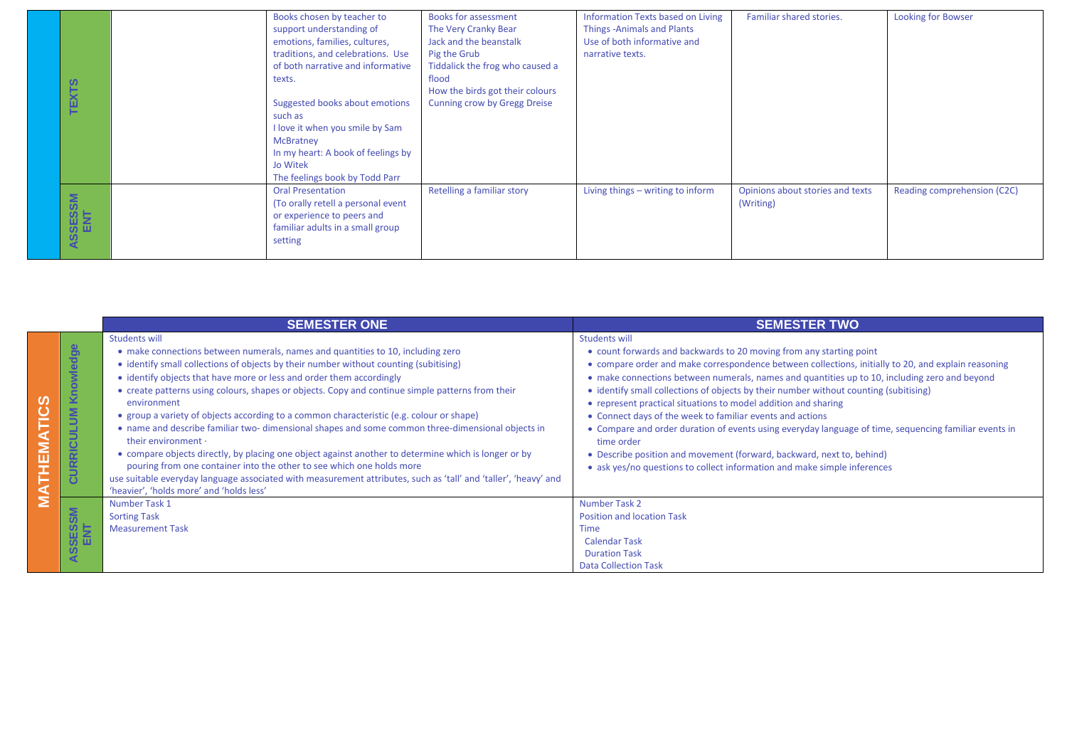| ഗ              | Books chosen by teacher to<br>support understanding of<br>emotions, families, cultures,<br>traditions, and celebrations. Use<br>of both narrative and informative<br>texts.          | <b>Books for assessment</b><br>The Very Cranky Bear<br>Jack and the beanstalk<br>Pig the Grub<br>Tiddalick the frog who caused a<br>flood | Information Texts based on Living<br>Things - Animals and Plants<br>Use of both informative and<br>narrative texts. | Familiar shared stories.                      | Looking for Bowser          |
|----------------|--------------------------------------------------------------------------------------------------------------------------------------------------------------------------------------|-------------------------------------------------------------------------------------------------------------------------------------------|---------------------------------------------------------------------------------------------------------------------|-----------------------------------------------|-----------------------------|
| TEXT:          | Suggested books about emotions<br>such as<br>I love it when you smile by Sam<br><b>McBratney</b><br>In my heart: A book of feelings by<br>Jo Witek<br>The feelings book by Todd Parr | How the birds got their colours<br><b>Cunning crow by Gregg Dreise</b>                                                                    |                                                                                                                     |                                               |                             |
| ASSESSM<br>ENT | <b>Oral Presentation</b><br>(To orally retell a personal event<br>or experience to peers and<br>familiar adults in a small group<br>setting                                          | Retelling a familiar story                                                                                                                | Living things – writing to inform                                                                                   | Opinions about stories and texts<br>(Writing) | Reading comprehension (C2C) |

|                                |                                                            | <b>SEMESTER ONE</b>                                                                                                                                                                                                                                                                                                                                                                                                                                                                                                                                                                                                                                                                                                                                                                                                                                                                                                                                                 | <b>SEMESTER TWO</b>                                                                                                                                                                                                                                                                                                                                                                                                                                                                                                                                                                                                                                                                                                                                                                                     |
|--------------------------------|------------------------------------------------------------|---------------------------------------------------------------------------------------------------------------------------------------------------------------------------------------------------------------------------------------------------------------------------------------------------------------------------------------------------------------------------------------------------------------------------------------------------------------------------------------------------------------------------------------------------------------------------------------------------------------------------------------------------------------------------------------------------------------------------------------------------------------------------------------------------------------------------------------------------------------------------------------------------------------------------------------------------------------------|---------------------------------------------------------------------------------------------------------------------------------------------------------------------------------------------------------------------------------------------------------------------------------------------------------------------------------------------------------------------------------------------------------------------------------------------------------------------------------------------------------------------------------------------------------------------------------------------------------------------------------------------------------------------------------------------------------------------------------------------------------------------------------------------------------|
| <b>TICS</b><br><b>NEW</b><br>⋖ | <b>ledge</b><br>e<br>$\checkmark$<br>ξ<br>ᅙ<br>œ<br>-<br>ಕ | <b>Students will</b><br>• make connections between numerals, names and quantities to 10, including zero<br>• identify small collections of objects by their number without counting (subitising)<br>• identify objects that have more or less and order them accordingly<br>• create patterns using colours, shapes or objects. Copy and continue simple patterns from their<br>environment<br>• group a variety of objects according to a common characteristic (e.g. colour or shape)<br>• name and describe familiar two- dimensional shapes and some common three-dimensional objects in<br>their environment ·<br>• compare objects directly, by placing one object against another to determine which is longer or by<br>pouring from one container into the other to see which one holds more<br>use suitable everyday language associated with measurement attributes, such as 'tall' and 'taller', 'heavy' and<br>'heavier', 'holds more' and 'holds less' | <b>Students will</b><br>• count forwards and backwards to 20 moving from any starting point<br>• compare order and make correspondence between collections, initially to 20, and explain reasoning<br>• make connections between numerals, names and quantities up to 10, including zero and beyond<br>• identify small collections of objects by their number without counting (subitising)<br>• represent practical situations to model addition and sharing<br>• Connect days of the week to familiar events and actions<br>• Compare and order duration of events using everyday language of time, sequencing familiar events in<br>time order<br>• Describe position and movement (forward, backward, next to, behind)<br>• ask yes/no questions to collect information and make simple inferences |
| Σ                              | <b>MS</b><br>ம் ய<br>ທ<br>$\blacktriangleleft$             | Number Task 1<br><b>Sorting Task</b><br><b>Measurement Task</b>                                                                                                                                                                                                                                                                                                                                                                                                                                                                                                                                                                                                                                                                                                                                                                                                                                                                                                     | Number Task 2<br><b>Position and location Task</b><br><b>Time</b><br><b>Calendar Task</b><br><b>Duration Task</b><br><b>Data Collection Task</b>                                                                                                                                                                                                                                                                                                                                                                                                                                                                                                                                                                                                                                                        |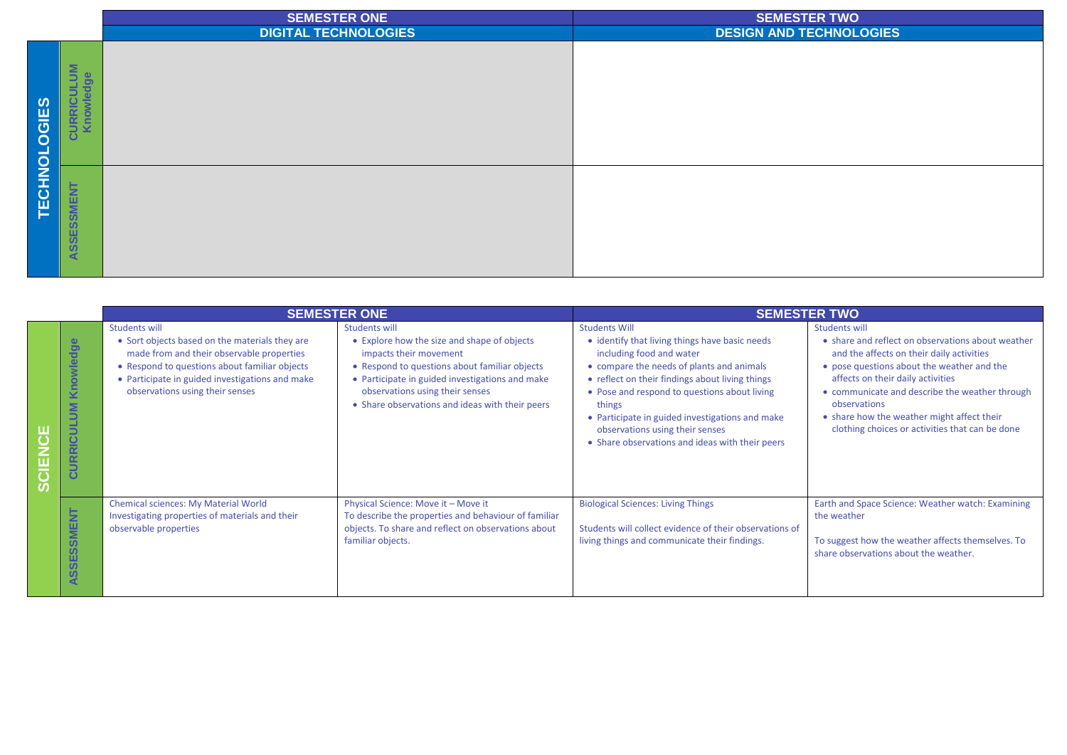|                     |                                                       | <b>SEMESTER ONE</b><br><b>DIGITAL TECHNOLOGIES</b> | <b>SEMESTER TWO</b><br><b>DESIGN AND TECHNOLOGIES</b> |
|---------------------|-------------------------------------------------------|----------------------------------------------------|-------------------------------------------------------|
| <b>TECHNOLOGIES</b> | $\overline{\mathbf{5}}$<br><b>ge</b><br>žΞ<br>$\circ$ |                                                    |                                                       |
|                     | <b>SMENT</b><br>$\Omega$<br>ASSE:                     |                                                    |                                                       |

| <b>SEMESTER ONE</b> |                                                                 |                                                                                                                                                                                                                                                            |                                                                                                                                                                                                                                                                                         | <b>SEMESTER TWO</b>                                                                                                                                                                                                                                                                                                                                                                                   |                                                                                                                                                                                                                                                                                                                                                                              |  |
|---------------------|-----------------------------------------------------------------|------------------------------------------------------------------------------------------------------------------------------------------------------------------------------------------------------------------------------------------------------------|-----------------------------------------------------------------------------------------------------------------------------------------------------------------------------------------------------------------------------------------------------------------------------------------|-------------------------------------------------------------------------------------------------------------------------------------------------------------------------------------------------------------------------------------------------------------------------------------------------------------------------------------------------------------------------------------------------------|------------------------------------------------------------------------------------------------------------------------------------------------------------------------------------------------------------------------------------------------------------------------------------------------------------------------------------------------------------------------------|--|
| $\overline{O}$      | Knowledge<br>$\overline{\mathbf{5}}$<br>CURRICUL                | <b>Students will</b><br>• Sort objects based on the materials they are<br>made from and their observable properties<br>• Respond to questions about familiar objects<br>• Participate in guided investigations and make<br>observations using their senses | <b>Students will</b><br>• Explore how the size and shape of objects<br>impacts their movement<br>• Respond to questions about familiar objects<br>• Participate in guided investigations and make<br>observations using their senses<br>• Share observations and ideas with their peers | <b>Students Will</b><br>• identify that living things have basic needs<br>including food and water<br>• compare the needs of plants and animals<br>• reflect on their findings about living things<br>• Pose and respond to questions about living<br>things<br>• Participate in guided investigations and make<br>observations using their senses<br>• Share observations and ideas with their peers | <b>Students will</b><br>• share and reflect on observations about weather<br>and the affects on their daily activities<br>• pose questions about the weather and the<br>affects on their daily activities<br>• communicate and describe the weather through<br>observations<br>• share how the weather might affect their<br>clothing choices or activities that can be done |  |
|                     | <b>SMENT</b><br><b>SO</b><br><b>SSE</b><br>$\blacktriangleleft$ | <b>Chemical sciences: My Material World</b><br>Investigating properties of materials and their<br>observable properties                                                                                                                                    | Physical Science: Move it - Move it<br>To describe the properties and behaviour of familiar<br>objects. To share and reflect on observations about<br>familiar objects.                                                                                                                 | <b>Biological Sciences: Living Things</b><br>Students will collect evidence of their observations of<br>living things and communicate their findings.                                                                                                                                                                                                                                                 | Earth and Space Science: Weather watch: Examining<br>the weather<br>To suggest how the weather affects themselves. To<br>share observations about the weather.                                                                                                                                                                                                               |  |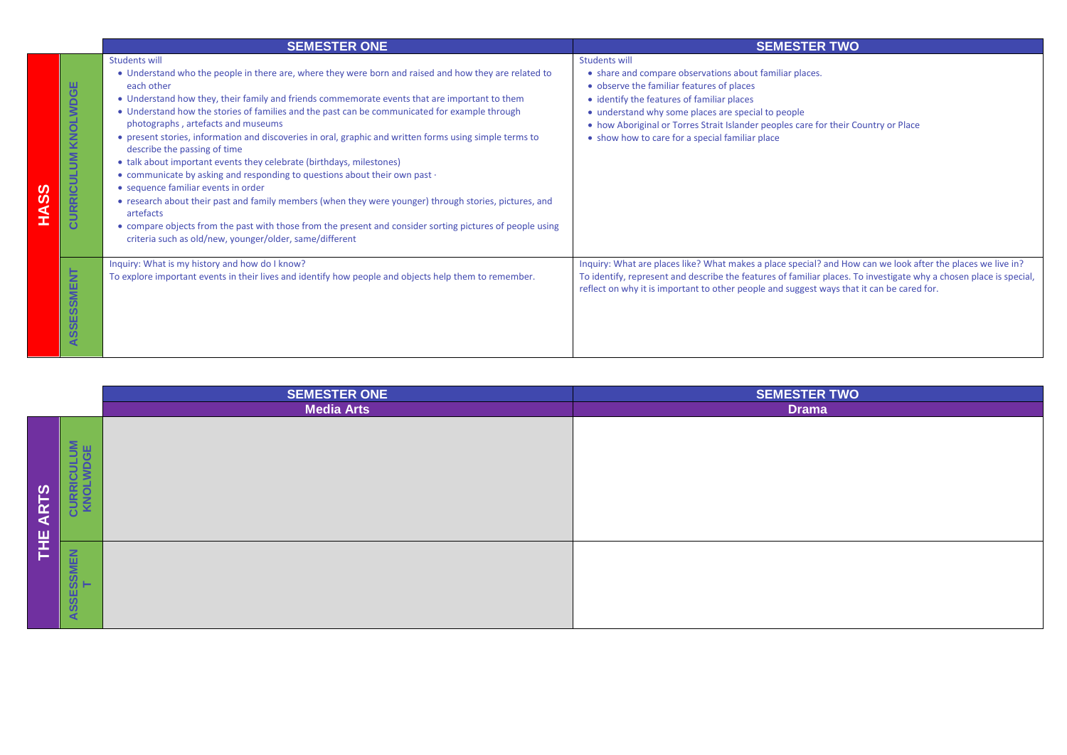|   |                                   | <b>SEMESTER ONE</b>                                                                                                                                                                                                                                                                                                                                                                                                                                                                                                                                                                                                                                                                                                                                                                                                                                                                                                                                                                                                              | <b>SEMESTER TWO</b>                                                                                                                                                                                                                                                                                                                                                       |
|---|-----------------------------------|----------------------------------------------------------------------------------------------------------------------------------------------------------------------------------------------------------------------------------------------------------------------------------------------------------------------------------------------------------------------------------------------------------------------------------------------------------------------------------------------------------------------------------------------------------------------------------------------------------------------------------------------------------------------------------------------------------------------------------------------------------------------------------------------------------------------------------------------------------------------------------------------------------------------------------------------------------------------------------------------------------------------------------|---------------------------------------------------------------------------------------------------------------------------------------------------------------------------------------------------------------------------------------------------------------------------------------------------------------------------------------------------------------------------|
| ⋖ | ш<br>KNOLWDG<br><b>CURRICULUM</b> | <b>Students will</b><br>• Understand who the people in there are, where they were born and raised and how they are related to<br>each other<br>• Understand how they, their family and friends commemorate events that are important to them<br>• Understand how the stories of families and the past can be communicated for example through<br>photographs, artefacts and museums<br>• present stories, information and discoveries in oral, graphic and written forms using simple terms to<br>describe the passing of time<br>• talk about important events they celebrate (birthdays, milestones)<br>• communicate by asking and responding to questions about their own past $\cdot$<br>• sequence familiar events in order<br>• research about their past and family members (when they were younger) through stories, pictures, and<br>artefacts<br>• compare objects from the past with those from the present and consider sorting pictures of people using<br>criteria such as old/new, younger/older, same/different | <b>Students will</b><br>• share and compare observations about familiar places.<br>• observe the familiar features of places<br>• identify the features of familiar places<br>• understand why some places are special to people<br>• how Aboriginal or Torres Strait Islander peoples care for their Country or Place<br>• show how to care for a special familiar place |
|   | ASSESSMENT                        | Inquiry: What is my history and how do I know?<br>To explore important events in their lives and identify how people and objects help them to remember.                                                                                                                                                                                                                                                                                                                                                                                                                                                                                                                                                                                                                                                                                                                                                                                                                                                                          | Inquiry: What are places like? What makes a place special? and How can we look after the places we live in?<br>To identify, represent and describe the features of familiar places. To investigate why a chosen place is special,<br>reflect on why it is important to other people and suggest ways that it can be cared for.                                            |

|                                                                 | <b>SEMESTER ONE</b> | <b>SEMESTER TWO</b> |
|-----------------------------------------------------------------|---------------------|---------------------|
|                                                                 | <b>Media Arts</b>   | <b>Drama</b>        |
| <b>CULUM</b><br>WDGE<br><b>CURRIC</b><br>ဖွာ<br><b>ART</b><br>뿦 |                     |                     |
| ASSESSMEN<br>T<br>c,                                            |                     |                     |